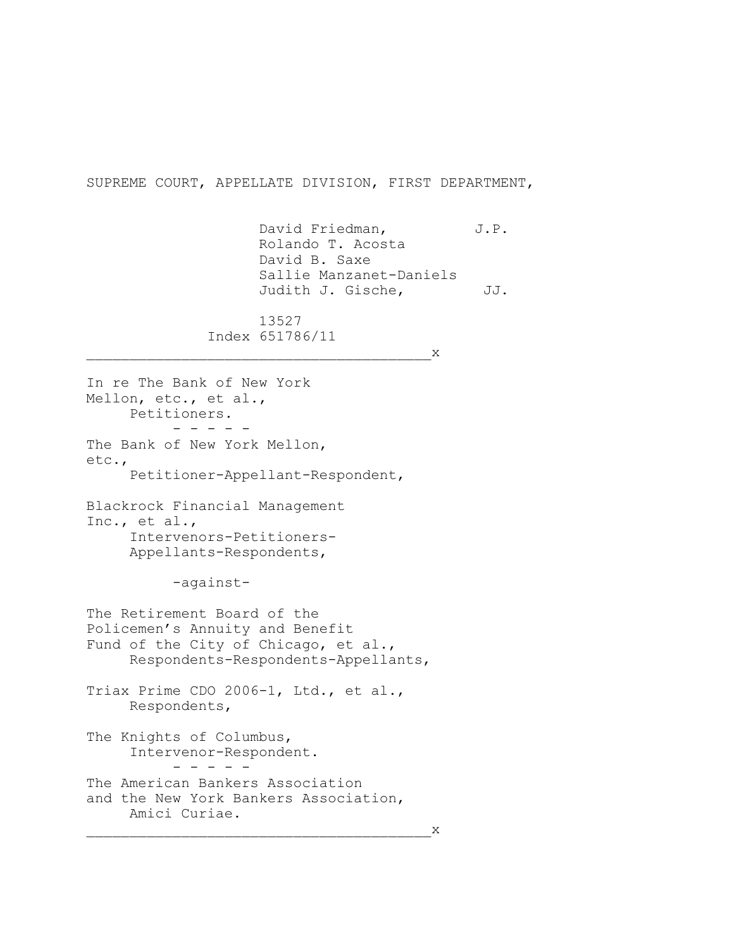SUPREME COURT, APPELLATE DIVISION, FIRST DEPARTMENT,

David Friedman, J.P. Rolando T. Acosta David B. Saxe Sallie Manzanet-Daniels Judith J. Gische, JJ. 13527 Index 651786/11  $X$ In re The Bank of New York Mellon, etc., et al., Petitioners. - - - - - The Bank of New York Mellon, etc., Petitioner-Appellant-Respondent, Blackrock Financial Management Inc., et al., Intervenors-Petitioners-Appellants-Respondents, -against-The Retirement Board of the Policemen's Annuity and Benefit Fund of the City of Chicago, et al., Respondents-Respondents-Appellants, Triax Prime CDO 2006-1, Ltd., et al., Respondents, The Knights of Columbus, Intervenor-Respondent.  $-$ The American Bankers Association and the New York Bankers Association, Amici Curiae.  $X$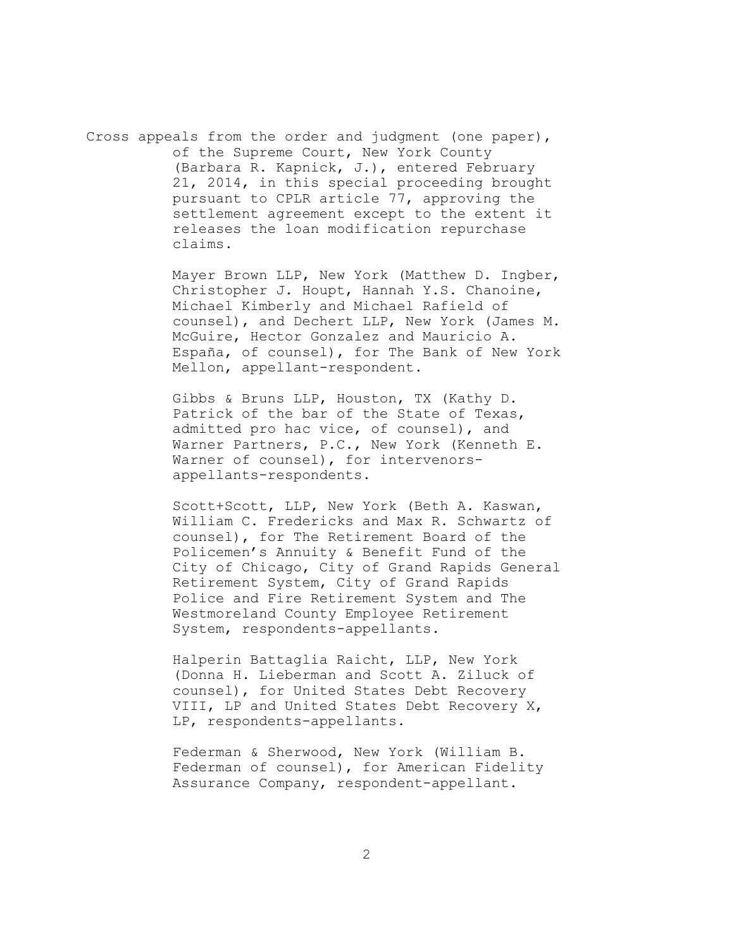Cross appeals from the order and judgment (one paper), of the Supreme Court, New York County (Barbara R. Kapnick, J.), entered February 21, 2014, in this special proceeding brought pursuant to CPLR article 77, approving the settlement agreement except to the extent it releases the loan modification repurchase claims.

> Mayer Brown LLP, New York (Matthew D. Ingber, Christopher J. Houpt, Hannah Y.S. Chanoine, Michael Kimberly and Michael Rafield of counsel), and Dechert LLP, New York (James M. McGuire, Hector Gonzalez and Mauricio A. España, of counsel), for The Bank of New York Mellon, appellant-respondent.

Gibbs & Bruns LLP, Houston, TX (Kathy D. Patrick of the bar of the State of Texas, admitted pro hac vice, of counsel), and Warner Partners, P.C., New York (Kenneth E. Warner of counsel), for intervenorsappellants-respondents.

Scott+Scott, LLP, New York (Beth A. Kaswan, William C. Fredericks and Max R. Schwartz of counsel), for The Retirement Board of the Policemen's Annuity & Benefit Fund of the City of Chicago, City of Grand Rapids General Retirement System, City of Grand Rapids Police and Fire Retirement System and The Westmoreland County Employee Retirement System, respondents-appellants.

Halperin Battaglia Raicht, LLP, New York (Donna H. Lieberman and Scott A. Ziluck of counsel), for United States Debt Recovery VIII, LP and United States Debt Recovery X, LP, respondents-appellants.

Federman & Sherwood, New York (William B. Federman of counsel), for American Fidelity Assurance Company, respondent-appellant.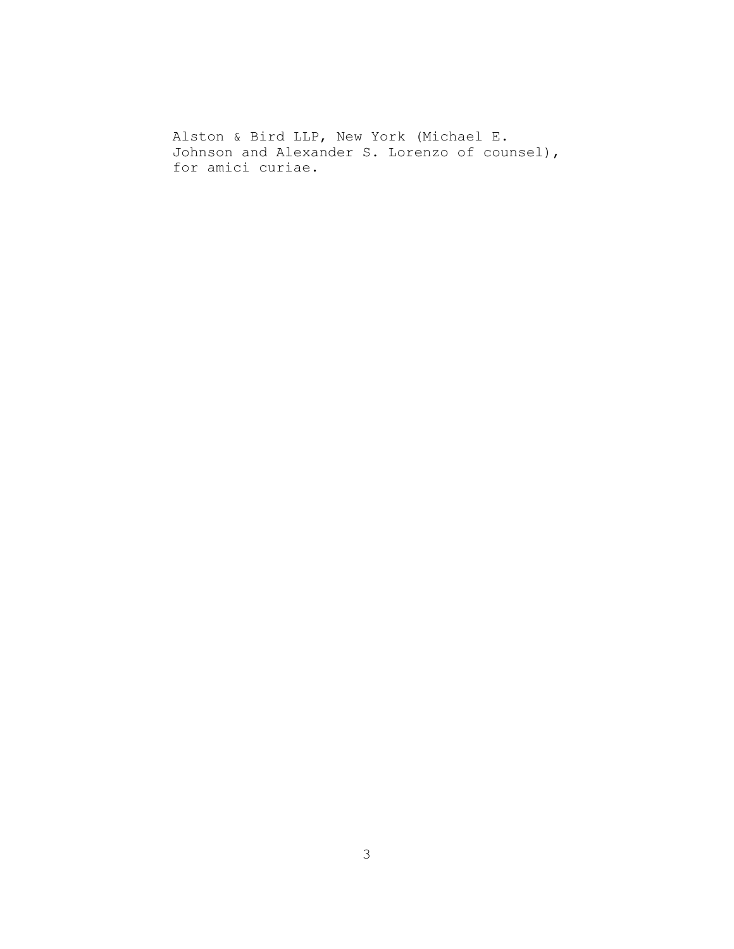Alston & Bird LLP, New York (Michael E. Johnson and Alexander S. Lorenzo of counsel), for amici curiae.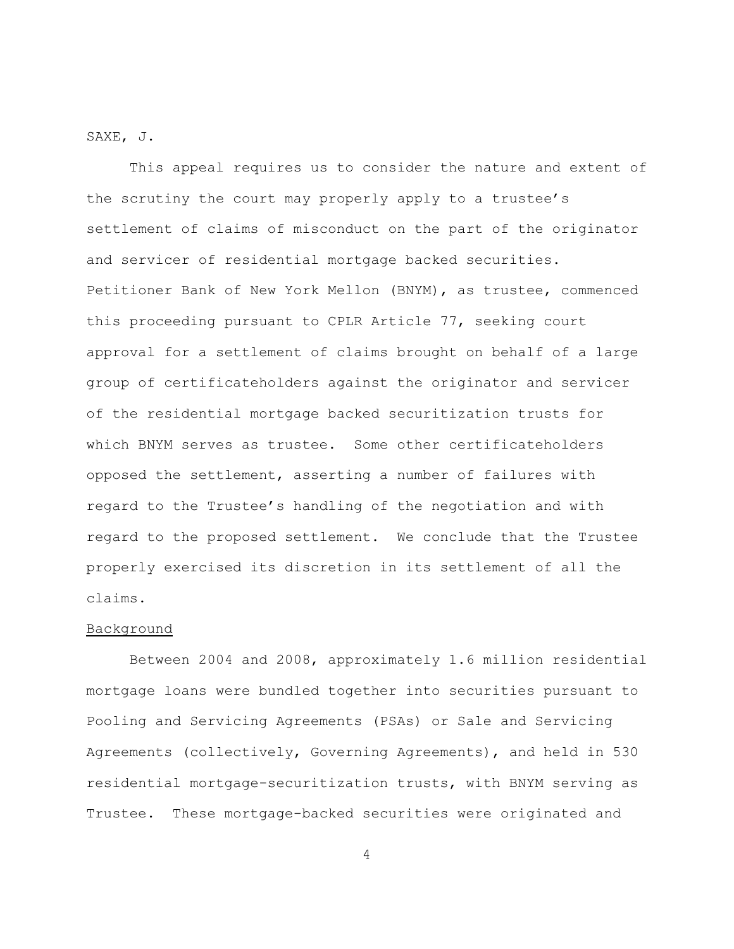SAXE, J.

This appeal requires us to consider the nature and extent of the scrutiny the court may properly apply to a trustee's settlement of claims of misconduct on the part of the originator and servicer of residential mortgage backed securities. Petitioner Bank of New York Mellon (BNYM), as trustee, commenced this proceeding pursuant to CPLR Article 77, seeking court approval for a settlement of claims brought on behalf of a large group of certificateholders against the originator and servicer of the residential mortgage backed securitization trusts for which BNYM serves as trustee. Some other certificateholders opposed the settlement, asserting a number of failures with regard to the Trustee's handling of the negotiation and with regard to the proposed settlement. We conclude that the Trustee properly exercised its discretion in its settlement of all the claims.

## Background

Between 2004 and 2008, approximately 1.6 million residential mortgage loans were bundled together into securities pursuant to Pooling and Servicing Agreements (PSAs) or Sale and Servicing Agreements (collectively, Governing Agreements), and held in 530 residential mortgage-securitization trusts, with BNYM serving as Trustee. These mortgage-backed securities were originated and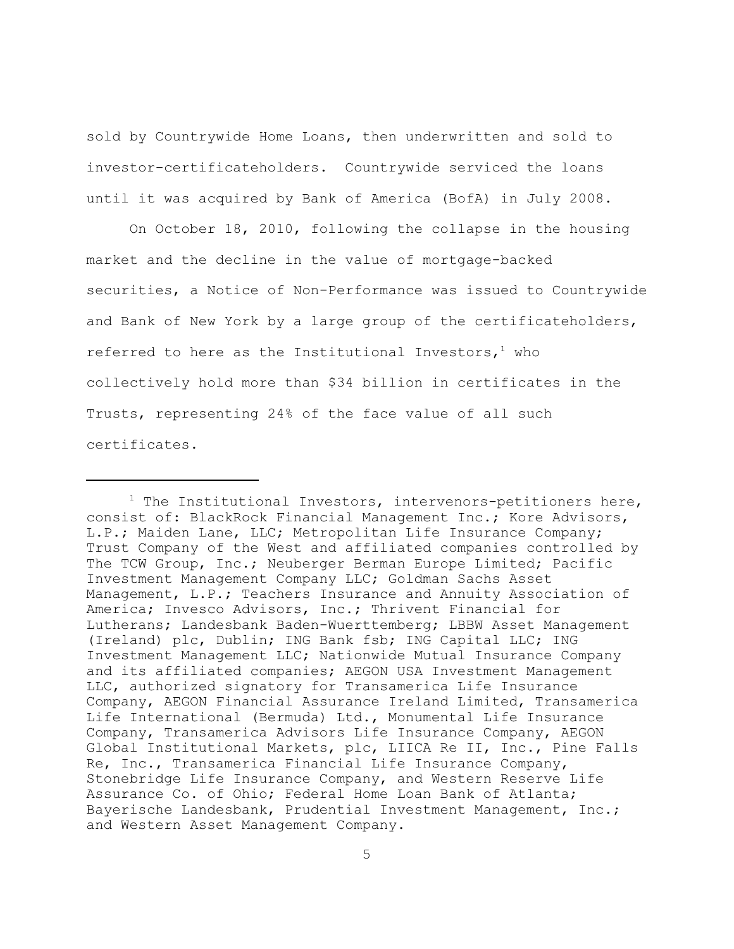sold by Countrywide Home Loans, then underwritten and sold to investor-certificateholders. Countrywide serviced the loans until it was acquired by Bank of America (BofA) in July 2008.

On October 18, 2010, following the collapse in the housing market and the decline in the value of mortgage-backed securities, a Notice of Non-Performance was issued to Countrywide and Bank of New York by a large group of the certificateholders, referred to here as the Institutional Investors,  $1$  who collectively hold more than \$34 billion in certificates in the Trusts, representing 24% of the face value of all such certificates.

 $1$  The Institutional Investors, intervenors-petitioners here, consist of: BlackRock Financial Management Inc.; Kore Advisors, L.P.; Maiden Lane, LLC; Metropolitan Life Insurance Company; Trust Company of the West and affiliated companies controlled by The TCW Group, Inc.; Neuberger Berman Europe Limited; Pacific Investment Management Company LLC; Goldman Sachs Asset Management, L.P.; Teachers Insurance and Annuity Association of America; Invesco Advisors, Inc.; Thrivent Financial for Lutherans; Landesbank Baden-Wuerttemberg; LBBW Asset Management (Ireland) plc, Dublin; ING Bank fsb; ING Capital LLC; ING Investment Management LLC; Nationwide Mutual Insurance Company and its affiliated companies; AEGON USA Investment Management LLC, authorized signatory for Transamerica Life Insurance Company, AEGON Financial Assurance Ireland Limited, Transamerica Life International (Bermuda) Ltd., Monumental Life Insurance Company, Transamerica Advisors Life Insurance Company, AEGON Global Institutional Markets, plc, LIICA Re II, Inc., Pine Falls Re, Inc., Transamerica Financial Life Insurance Company, Stonebridge Life Insurance Company, and Western Reserve Life Assurance Co. of Ohio; Federal Home Loan Bank of Atlanta; Bayerische Landesbank, Prudential Investment Management, Inc.; and Western Asset Management Company.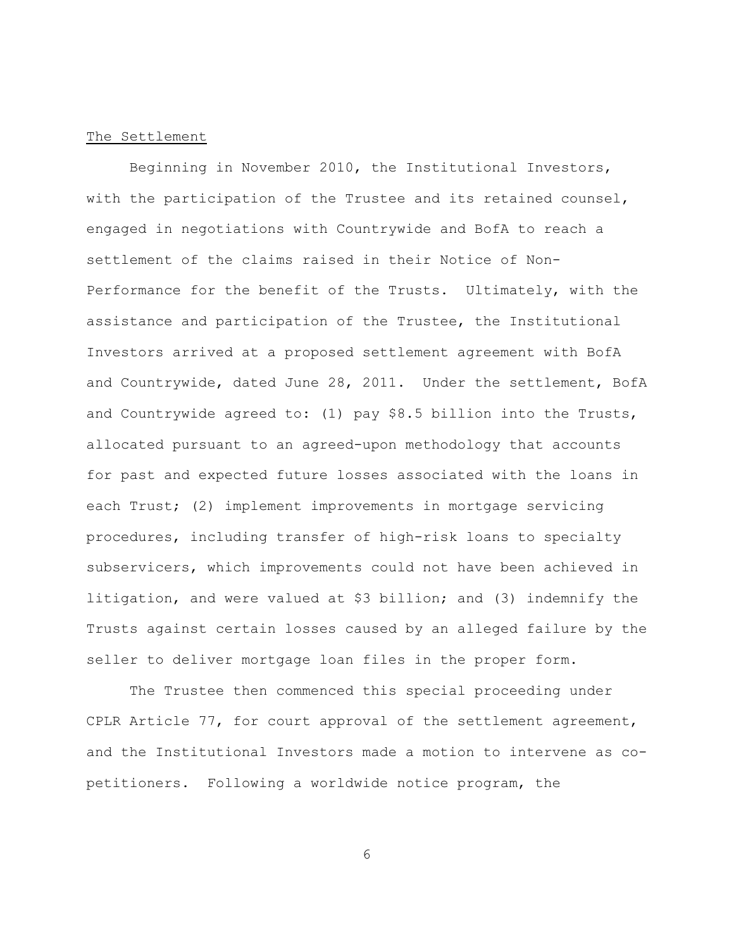## The Settlement

Beginning in November 2010, the Institutional Investors, with the participation of the Trustee and its retained counsel, engaged in negotiations with Countrywide and BofA to reach a settlement of the claims raised in their Notice of Non-Performance for the benefit of the Trusts. Ultimately, with the assistance and participation of the Trustee, the Institutional Investors arrived at a proposed settlement agreement with BofA and Countrywide, dated June 28, 2011. Under the settlement, BofA and Countrywide agreed to: (1) pay \$8.5 billion into the Trusts, allocated pursuant to an agreed-upon methodology that accounts for past and expected future losses associated with the loans in each Trust; (2) implement improvements in mortgage servicing procedures, including transfer of high-risk loans to specialty subservicers, which improvements could not have been achieved in litigation, and were valued at \$3 billion; and (3) indemnify the Trusts against certain losses caused by an alleged failure by the seller to deliver mortgage loan files in the proper form.

The Trustee then commenced this special proceeding under CPLR Article 77, for court approval of the settlement agreement, and the Institutional Investors made a motion to intervene as copetitioners. Following a worldwide notice program, the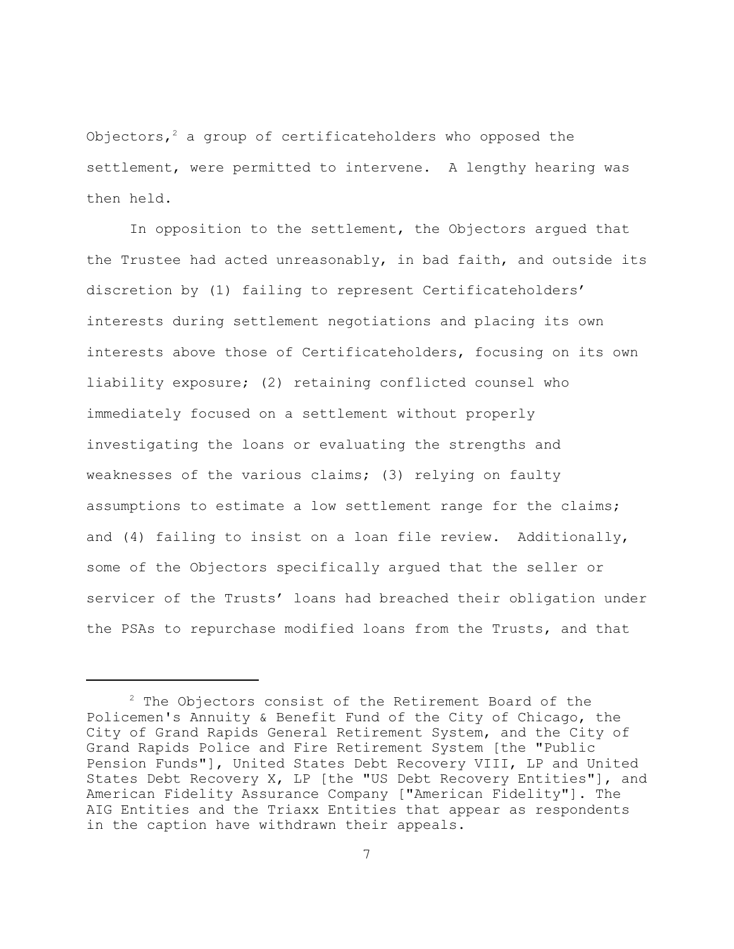Objectors,<sup>2</sup> a group of certificateholders who opposed the settlement, were permitted to intervene. A lengthy hearing was then held.

In opposition to the settlement, the Objectors argued that the Trustee had acted unreasonably, in bad faith, and outside its discretion by (1) failing to represent Certificateholders' interests during settlement negotiations and placing its own interests above those of Certificateholders, focusing on its own liability exposure; (2) retaining conflicted counsel who immediately focused on a settlement without properly investigating the loans or evaluating the strengths and weaknesses of the various claims; (3) relying on faulty assumptions to estimate a low settlement range for the claims; and (4) failing to insist on a loan file review. Additionally, some of the Objectors specifically argued that the seller or servicer of the Trusts' loans had breached their obligation under the PSAs to repurchase modified loans from the Trusts, and that

 $2$  The Objectors consist of the Retirement Board of the Policemen's Annuity & Benefit Fund of the City of Chicago, the City of Grand Rapids General Retirement System, and the City of Grand Rapids Police and Fire Retirement System [the "Public Pension Funds"], United States Debt Recovery VIII, LP and United States Debt Recovery X, LP [the "US Debt Recovery Entities"], and American Fidelity Assurance Company ["American Fidelity"]. The AIG Entities and the Triaxx Entities that appear as respondents in the caption have withdrawn their appeals.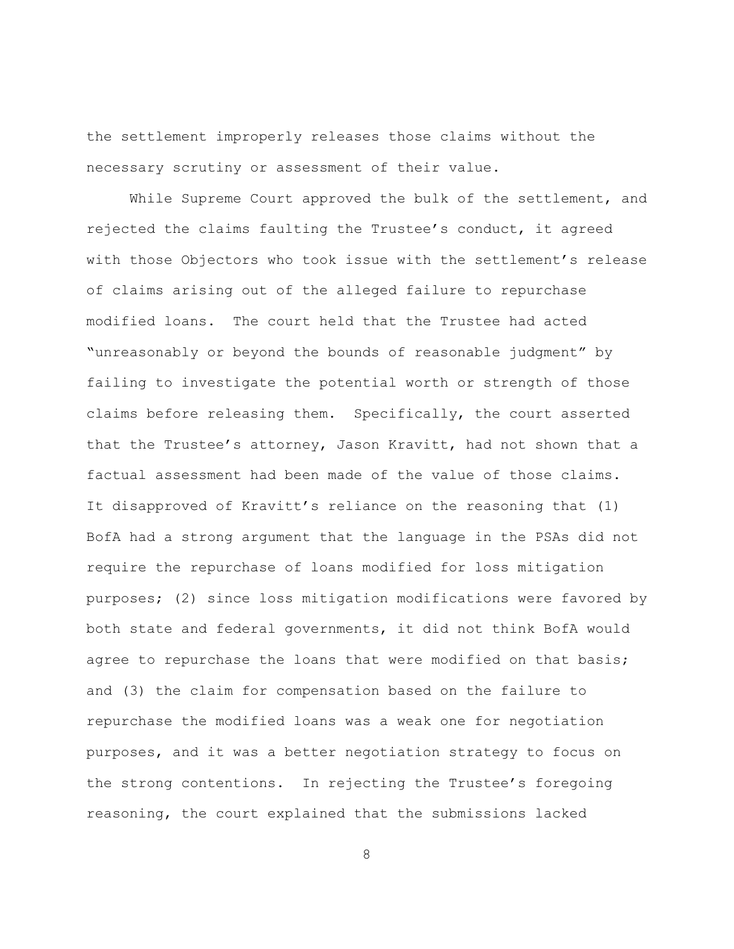the settlement improperly releases those claims without the necessary scrutiny or assessment of their value.

While Supreme Court approved the bulk of the settlement, and rejected the claims faulting the Trustee's conduct, it agreed with those Objectors who took issue with the settlement's release of claims arising out of the alleged failure to repurchase modified loans. The court held that the Trustee had acted "unreasonably or beyond the bounds of reasonable judgment" by failing to investigate the potential worth or strength of those claims before releasing them. Specifically, the court asserted that the Trustee's attorney, Jason Kravitt, had not shown that a factual assessment had been made of the value of those claims. It disapproved of Kravitt's reliance on the reasoning that (1) BofA had a strong argument that the language in the PSAs did not require the repurchase of loans modified for loss mitigation purposes; (2) since loss mitigation modifications were favored by both state and federal governments, it did not think BofA would agree to repurchase the loans that were modified on that basis; and (3) the claim for compensation based on the failure to repurchase the modified loans was a weak one for negotiation purposes, and it was a better negotiation strategy to focus on the strong contentions. In rejecting the Trustee's foregoing reasoning, the court explained that the submissions lacked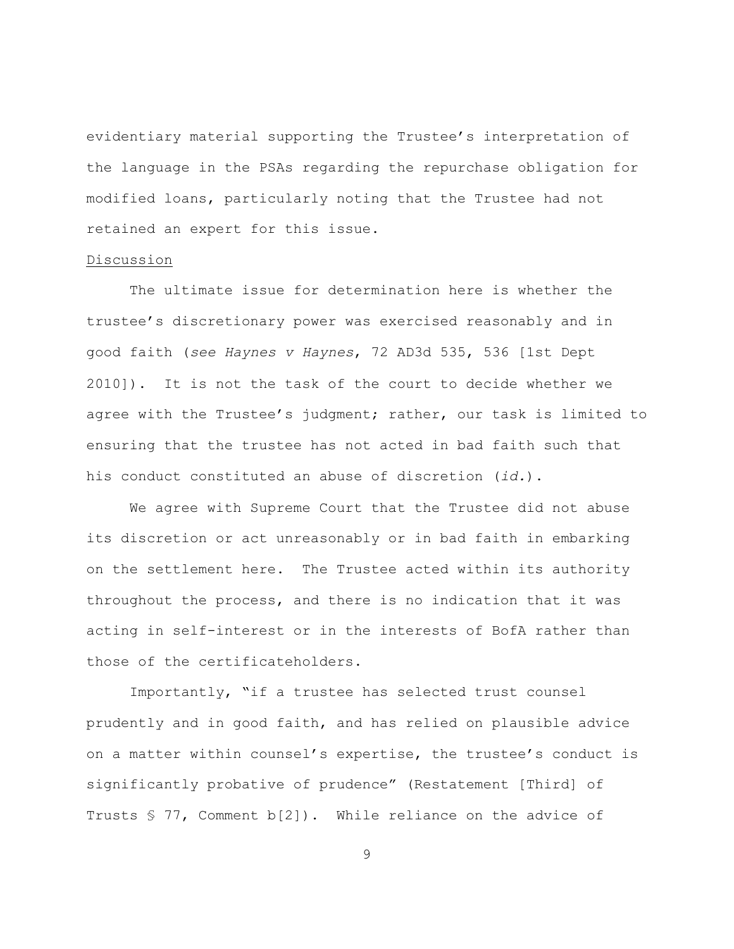evidentiary material supporting the Trustee's interpretation of the language in the PSAs regarding the repurchase obligation for modified loans, particularly noting that the Trustee had not retained an expert for this issue.

## Discussion

The ultimate issue for determination here is whether the trustee's discretionary power was exercised reasonably and in good faith (*see Haynes v Haynes*, 72 AD3d 535, 536 [1st Dept 2010]). It is not the task of the court to decide whether we agree with the Trustee's judgment; rather, our task is limited to ensuring that the trustee has not acted in bad faith such that his conduct constituted an abuse of discretion (*id.*).

We agree with Supreme Court that the Trustee did not abuse its discretion or act unreasonably or in bad faith in embarking on the settlement here. The Trustee acted within its authority throughout the process, and there is no indication that it was acting in self-interest or in the interests of BofA rather than those of the certificateholders.

Importantly, "if a trustee has selected trust counsel prudently and in good faith, and has relied on plausible advice on a matter within counsel's expertise, the trustee's conduct is significantly probative of prudence" (Restatement [Third] of Trusts  $\frac{1}{5}$  77, Comment b[2]). While reliance on the advice of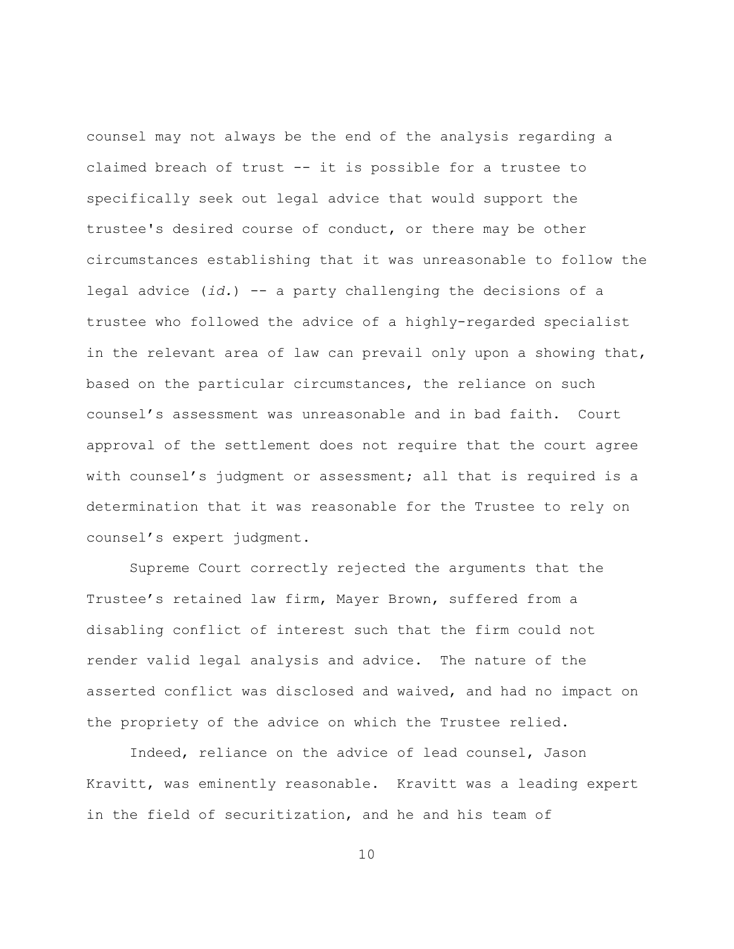counsel may not always be the end of the analysis regarding a claimed breach of trust -- it is possible for a trustee to specifically seek out legal advice that would support the trustee's desired course of conduct, or there may be other circumstances establishing that it was unreasonable to follow the legal advice (*id.*) -- a party challenging the decisions of a trustee who followed the advice of a highly-regarded specialist in the relevant area of law can prevail only upon a showing that, based on the particular circumstances, the reliance on such counsel's assessment was unreasonable and in bad faith. Court approval of the settlement does not require that the court agree with counsel's judgment or assessment; all that is required is a determination that it was reasonable for the Trustee to rely on counsel's expert judgment.

Supreme Court correctly rejected the arguments that the Trustee's retained law firm, Mayer Brown, suffered from a disabling conflict of interest such that the firm could not render valid legal analysis and advice. The nature of the asserted conflict was disclosed and waived, and had no impact on the propriety of the advice on which the Trustee relied.

Indeed, reliance on the advice of lead counsel, Jason Kravitt, was eminently reasonable. Kravitt was a leading expert in the field of securitization, and he and his team of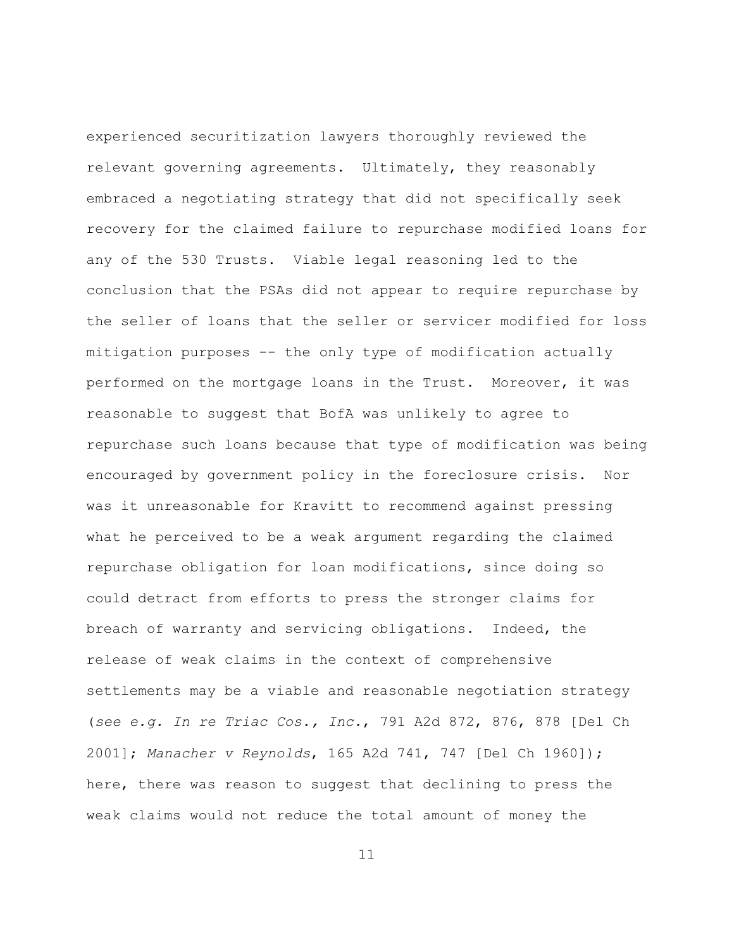experienced securitization lawyers thoroughly reviewed the relevant governing agreements. Ultimately, they reasonably embraced a negotiating strategy that did not specifically seek recovery for the claimed failure to repurchase modified loans for any of the 530 Trusts. Viable legal reasoning led to the conclusion that the PSAs did not appear to require repurchase by the seller of loans that the seller or servicer modified for loss mitigation purposes -- the only type of modification actually performed on the mortgage loans in the Trust. Moreover, it was reasonable to suggest that BofA was unlikely to agree to repurchase such loans because that type of modification was being encouraged by government policy in the foreclosure crisis. Nor was it unreasonable for Kravitt to recommend against pressing what he perceived to be a weak argument regarding the claimed repurchase obligation for loan modifications, since doing so could detract from efforts to press the stronger claims for breach of warranty and servicing obligations. Indeed, the release of weak claims in the context of comprehensive settlements may be a viable and reasonable negotiation strategy (*see e.g. In re Triac Cos., Inc.*, 791 A2d 872, 876, 878 [Del Ch 2001]; *Manacher v Reynolds*, 165 A2d 741, 747 [Del Ch 1960]); here, there was reason to suggest that declining to press the weak claims would not reduce the total amount of money the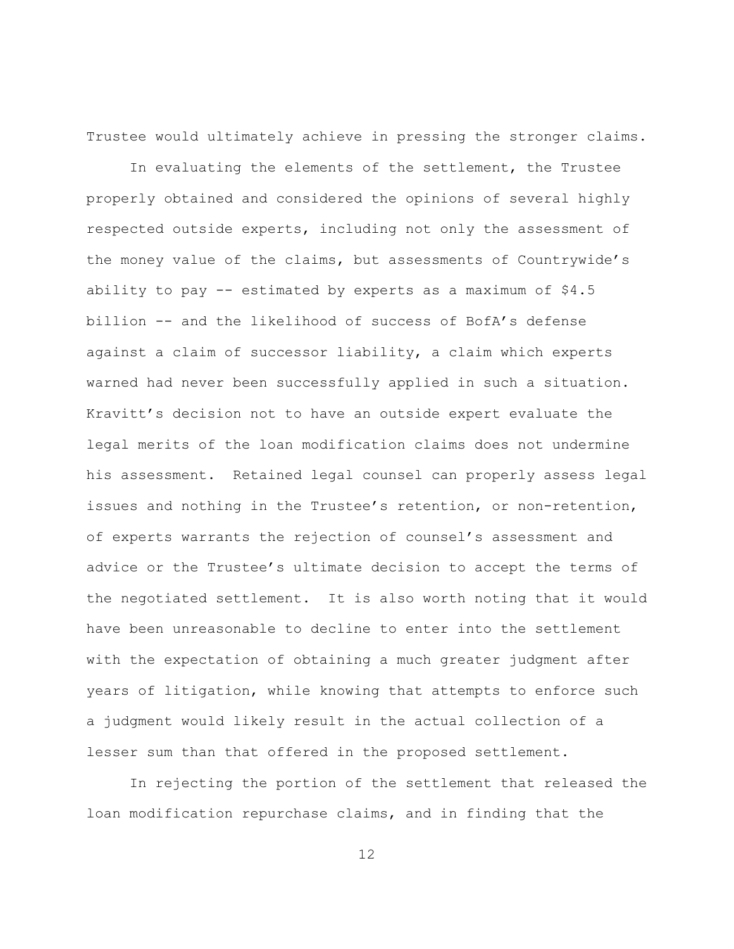Trustee would ultimately achieve in pressing the stronger claims.

In evaluating the elements of the settlement, the Trustee properly obtained and considered the opinions of several highly respected outside experts, including not only the assessment of the money value of the claims, but assessments of Countrywide's ability to pay  $-$ - estimated by experts as a maximum of  $$4.5$ billion -- and the likelihood of success of BofA's defense against a claim of successor liability, a claim which experts warned had never been successfully applied in such a situation. Kravitt's decision not to have an outside expert evaluate the legal merits of the loan modification claims does not undermine his assessment. Retained legal counsel can properly assess legal issues and nothing in the Trustee's retention, or non-retention, of experts warrants the rejection of counsel's assessment and advice or the Trustee's ultimate decision to accept the terms of the negotiated settlement. It is also worth noting that it would have been unreasonable to decline to enter into the settlement with the expectation of obtaining a much greater judgment after years of litigation, while knowing that attempts to enforce such a judgment would likely result in the actual collection of a lesser sum than that offered in the proposed settlement.

In rejecting the portion of the settlement that released the loan modification repurchase claims, and in finding that the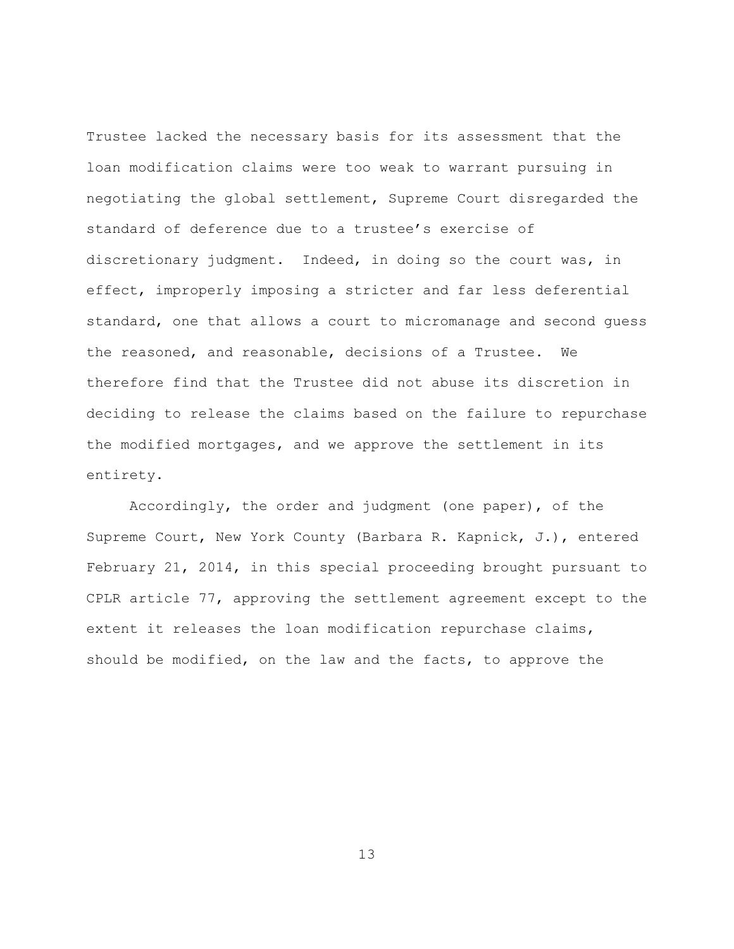Trustee lacked the necessary basis for its assessment that the loan modification claims were too weak to warrant pursuing in negotiating the global settlement, Supreme Court disregarded the standard of deference due to a trustee's exercise of discretionary judgment. Indeed, in doing so the court was, in effect, improperly imposing a stricter and far less deferential standard, one that allows a court to micromanage and second guess the reasoned, and reasonable, decisions of a Trustee. We therefore find that the Trustee did not abuse its discretion in deciding to release the claims based on the failure to repurchase the modified mortgages, and we approve the settlement in its entirety.

Accordingly, the order and judgment (one paper), of the Supreme Court, New York County (Barbara R. Kapnick, J.), entered February 21, 2014, in this special proceeding brought pursuant to CPLR article 77, approving the settlement agreement except to the extent it releases the loan modification repurchase claims, should be modified, on the law and the facts, to approve the